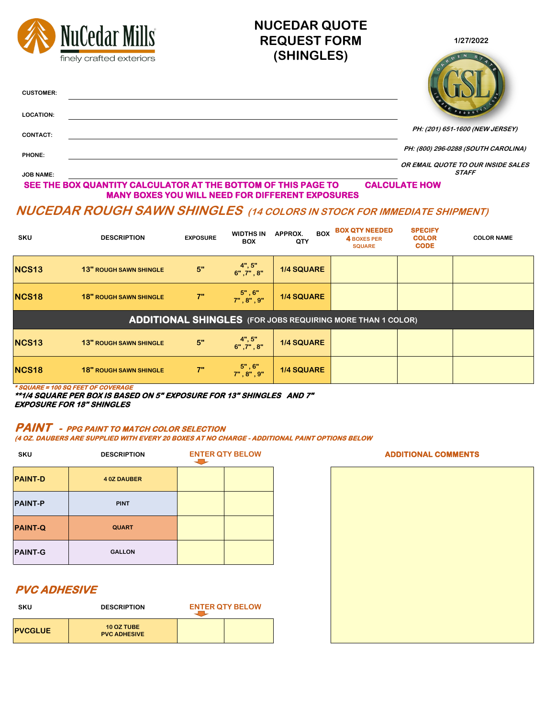

**COLOR NAME NCS18 18"** ROUGH SAWN SHINGLE **18" 7" 18"** , 8" , 9" **1/4 SQUARE NCS13 13" ROUGH SAWN SHINGLE 5" 4", 5" 6" ,7" , 8" 1/4 SQUARE NCS18 18"** ROUGH SAWN SHINGLE **18" 7" 18"** , 6" **1/4 SQUARE ADDITIONAL SHINGLES (FOR JOBS REQUIRING MORE THAN 1 COLOR)**

| <b>PAINT-D</b> | <b>40Z DAUBER</b> |  |
|----------------|-------------------|--|
| <b>PAINT-P</b> | <b>PINT</b>       |  |
| <b>PAINT-Q</b> | <b>QUART</b>      |  |
| <b>PAINT-G</b> | <b>GALLON</b>     |  |

#### **PAINT - PPG PAINT TO MATCH COLOR SELECTION**

**(4 OZ. DAUBERS ARE SUPPLIED WITH EVERY 20 BOXES AT NO CHARGE - ADDITIONAL PAINT OPTIONS BELOW**

JU

| <b>SKU</b>     | <b>DESCRIPTION</b>                       | <b>ENTER QTY BELOW</b> |  |  |
|----------------|------------------------------------------|------------------------|--|--|
| <b>PVCGLUE</b> | <b>10 OZ TUBE</b><br><b>PVC ADHESIVE</b> |                        |  |  |

**\* SQUARE = 100 SQ FEET OF COVERAGE** 

**\*\*1/4 SQUARE PER BOX IS BASED ON 5" EXPOSURE FOR 13" SHINGLES AND 7" EXPOSURE FOR 18" SHINGLES**

**ENTER QTY BELOW ADDITIONAL COMMENTS**

#### **PVC ADHESIVE**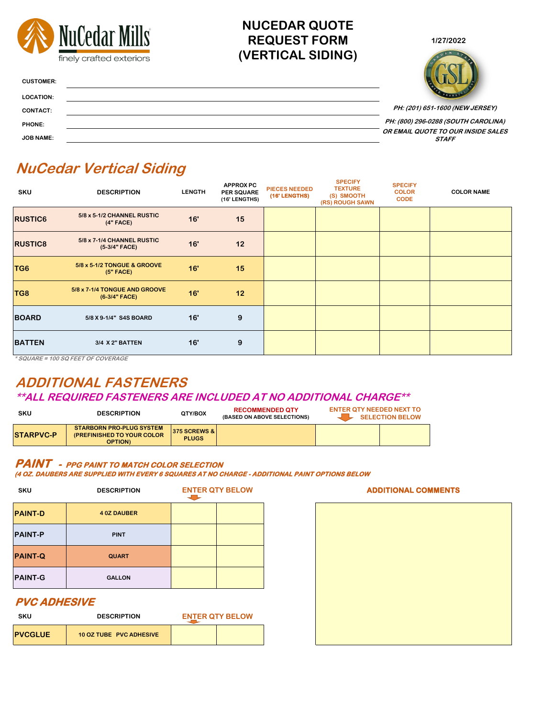



**CUSTOMER:**

**LOCATION:**

**CONTACT:**

**PHONE:**

**JOB NAME:**

| <b>SKU</b>     | <b>DESCRIPTION</b>                               | <b>LENGTH</b> | <b>APPROX PC</b><br><b>PER SQUARE</b><br>(16' LENGTHS) | <b>PIECES NEEDED</b><br>(16' LENGTHS) | <b>SPECIFY</b><br><b>TEXTURE</b><br>(S) SMOOTH<br>(RS) ROUGH SAWN | <b>SPECIFY</b><br><b>COLOR</b><br><b>CODE</b> | <b>COLOR NAME</b> |
|----------------|--------------------------------------------------|---------------|--------------------------------------------------------|---------------------------------------|-------------------------------------------------------------------|-----------------------------------------------|-------------------|
| <b>RUSTIC6</b> | 5/8 x 5-1/2 CHANNEL RUSTIC<br>$(4"$ FACE)        | 16'           | 15                                                     |                                       |                                                                   |                                               |                   |
| <b>RUSTIC8</b> | 5/8 x 7-1/4 CHANNEL RUSTIC<br>(5-3/4" FACE)      | 16'           | 12                                                     |                                       |                                                                   |                                               |                   |
| TG6            | 5/8 x 5-1/2 TONGUE & GROOVE<br>$(5"$ FACE)       | 16'           | 15                                                     |                                       |                                                                   |                                               |                   |
| TG8            | 5/8 x 7-1/4 TONGUE AND GROOVE<br>$(6-3/4"$ FACE) | 16'           | 12                                                     |                                       |                                                                   |                                               |                   |
| <b>BOARD</b>   | 5/8 X 9-1/4" S4S BOARD                           | 16'           | 9                                                      |                                       |                                                                   |                                               |                   |
| <b>BATTEN</b>  | 3/4 X 2" BATTEN                                  | 16'           | 9                                                      |                                       |                                                                   |                                               |                   |

| <b>SKU</b>     | <b>DESCRIPTION</b> | <b>ENTER QTY BELOW</b> |
|----------------|--------------------|------------------------|
| <b>PAINT-D</b> | <b>40Z DAUBER</b>  |                        |
| <b>PAINT-P</b> | <b>PINT</b>        |                        |
| <b>PAINT-Q</b> | <b>QUART</b>       |                        |
| <b>PAINT-G</b> | <b>GALLON</b>      |                        |

| SKU            | <b>DESCRIPTION</b>             | <b>ENTER QTY BELOW</b> |
|----------------|--------------------------------|------------------------|
| <b>PVCGLUE</b> | <b>10 OZ TUBE PVC ADHESIVE</b> |                        |

#### **ADDITIONAL COMMENTS**

#### **PVC ADHESIVE**

**\* SQUARE = 100 SQ FEET OF COVERAGE**

#### **PAINT - PPG PAINT TO MATCH COLOR SELECTION**

| <b>SKU</b>        | <b>DESCRIPTION</b>                                                                     | QTY/BOX                                   | <b>RECOMMENDED QTY</b><br>(BASED ON ABOVE SELECTIONS) | <b>ENTER QTY NEEDED NEXT TO</b> | <b>SELECTION BELOW</b> |
|-------------------|----------------------------------------------------------------------------------------|-------------------------------------------|-------------------------------------------------------|---------------------------------|------------------------|
| <b>ISTARPVC-P</b> | <b>STARBORN PRO-PLUG SYSTEM</b><br><b>(PREFINISHED TO YOUR COLOR)</b><br><b>OPTION</b> | <b>375 SCREWS &amp; l</b><br><b>PLUGS</b> |                                                       |                                 |                        |

#### **(4 OZ. DAUBERS ARE SUPPLIED WITH EVERY 6 SQUARES AT NO CHARGE - ADDITIONAL PAINT OPTIONS BELOW**

## **ADDITIONAL FASTENERS \*\*ALL REQUIRED FASTENERS ARE INCLUDED AT NO ADDITIONAL CHARGE\*\***

## **NUCEDAR QUOTE REQUEST FORM (VERTICAL SIDING)**

# **NuCedar Vertical Siding**

**PH: (800) 296-0288 (SOUTH CAROLINA) OR EMAIL QUOTE TO OUR INSIDE SALES STAFF**

**PH: (201) 651-1600 (NEW JERSEY)**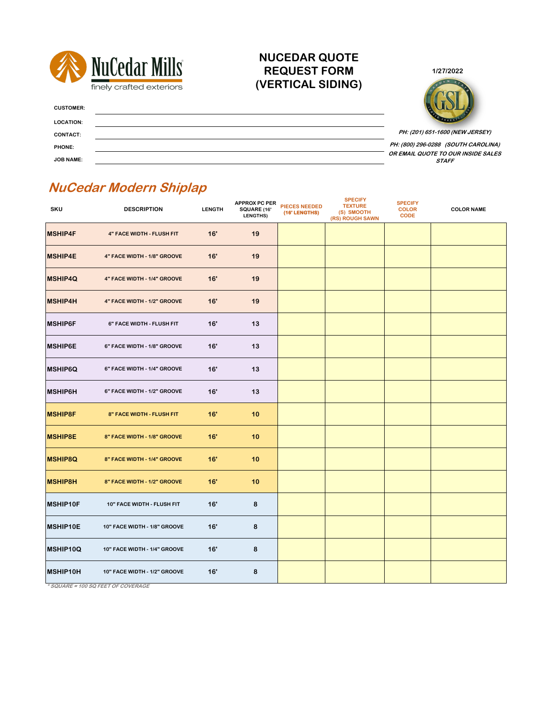



**CUSTOMER:**

**LOCATION:**

**CONTACT:**

**PHONE:**

**JOB NAME:**

| <b>SKU</b>      | <b>DESCRIPTION</b>                | <b>LENGTH</b> | <b>APPROX PC PER</b><br><b>SQUARE (16'</b><br><b>LENGTHS)</b> | <b>PIECES NEEDED</b><br>(16' LENGTHS) | <b>SPECIFY</b><br><b>TEXTURE</b><br>(S) SMOOTH<br>(RS) ROUGH SAWN | <b>SPECIFY</b><br><b>COLOR</b><br><b>CODE</b> | <b>COLOR NAME</b> |
|-----------------|-----------------------------------|---------------|---------------------------------------------------------------|---------------------------------------|-------------------------------------------------------------------|-----------------------------------------------|-------------------|
| <b>MSHIP4F</b>  | <b>4" FACE WIDTH - FLUSH FIT</b>  | 16'           | 19                                                            |                                       |                                                                   |                                               |                   |
| <b>MSHIP4E</b>  | 4" FACE WIDTH - 1/8" GROOVE       | 16'           | 19                                                            |                                       |                                                                   |                                               |                   |
| <b>MSHIP4Q</b>  | 4" FACE WIDTH - 1/4" GROOVE       | 16'           | 19                                                            |                                       |                                                                   |                                               |                   |
| <b>MSHIP4H</b>  | 4" FACE WIDTH - 1/2" GROOVE       | 16'           | 19                                                            |                                       |                                                                   |                                               |                   |
| <b>MSHIP6F</b>  | 6" FACE WIDTH - FLUSH FIT         | 16'           | 13                                                            |                                       |                                                                   |                                               |                   |
| <b>MSHIP6E</b>  | 6" FACE WIDTH - 1/8" GROOVE       | 16'           | 13                                                            |                                       |                                                                   |                                               |                   |
| <b>MSHIP6Q</b>  | 6" FACE WIDTH - 1/4" GROOVE       | 16'           | 13                                                            |                                       |                                                                   |                                               |                   |
| <b>MSHIP6H</b>  | 6" FACE WIDTH - 1/2" GROOVE       | 16'           | 13                                                            |                                       |                                                                   |                                               |                   |
| <b>MSHIP8F</b>  | 8" FACE WIDTH - FLUSH FIT         | 16'           | 10                                                            |                                       |                                                                   |                                               |                   |
| <b>MSHIP8E</b>  | 8" FACE WIDTH - 1/8" GROOVE       | 16'           | 10                                                            |                                       |                                                                   |                                               |                   |
| <b>MSHIP8Q</b>  | 8" FACE WIDTH - 1/4" GROOVE       | 16'           | 10                                                            |                                       |                                                                   |                                               |                   |
| <b>MSHIP8H</b>  | 8" FACE WIDTH - 1/2" GROOVE       | 16'           | 10                                                            |                                       |                                                                   |                                               |                   |
| MSHIP10F        | <b>10" FACE WIDTH - FLUSH FIT</b> | 16'           | 8                                                             |                                       |                                                                   |                                               |                   |
| <b>MSHIP10E</b> | 10" FACE WIDTH - 1/8" GROOVE      | 16'           | 8                                                             |                                       |                                                                   |                                               |                   |
| MSHIP10Q        | 10" FACE WIDTH - 1/4" GROOVE      | 16'           | 8                                                             |                                       |                                                                   |                                               |                   |
| MSHIP10H        | 10" FACE WIDTH - 1/2" GROOVE      | 16'           | 8                                                             |                                       |                                                                   |                                               |                   |

# **NuCedar Modern Shiplap**

**OR EMAIL QUOTE TO OUR INSIDE SALES STAFF PH: (800) 296-0288 (SOUTH CAROLINA)**

**\* SQUARE = 100 SQ FEET OF COVERAGE**

**NUCEDAR QUOTE REQUEST FORM (VERTICAL SIDING)**

**PH: (201) 651-1600 (NEW JERSEY)**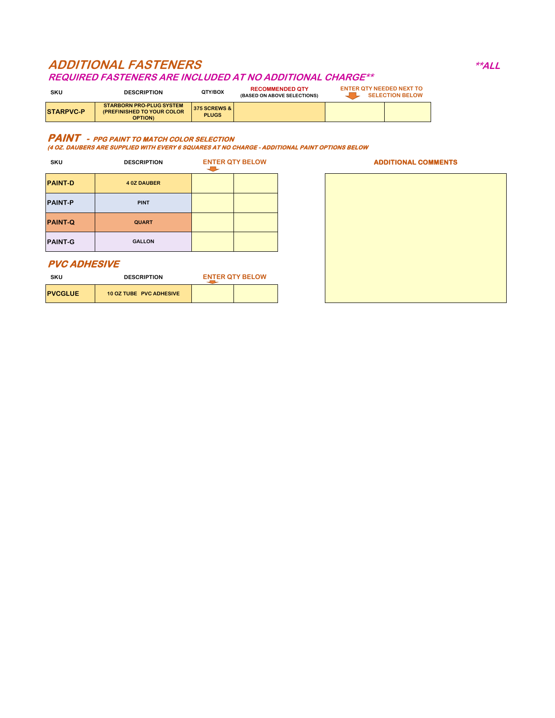| SKU              | <b>DESCRIPTION</b>                                                                     | QTY/BOX                                   | <b>RECOMMENDED QTY</b><br>(BASED ON ABOVE SELECTIONS) | <b>ENTER QTY NEEDED NEXT TO</b><br><b>SELECTION BELOW</b> |
|------------------|----------------------------------------------------------------------------------------|-------------------------------------------|-------------------------------------------------------|-----------------------------------------------------------|
| <b>STARPVC-P</b> | <b>STARBORN PRO-PLUG SYSTEM</b><br><b>(PREFINISHED TO YOUR COLOR)</b><br><b>OPTION</b> | <b>375 SCREWS &amp; I</b><br><b>PLUGS</b> |                                                       |                                                           |

# **ADDITIONAL FASTENERS \*\*ALL**

#### **REQUIRED FASTENERS ARE INCLUDED AT NO ADDITIONAL CHARGE\*\***

| <b>SKU</b>          | <b>DESCRIPTION</b>             | <b>ENTER QTY BELOW</b><br>$\overline{\phantom{a}}$ | <b>ADDITIONAL COMMENTS</b> |
|---------------------|--------------------------------|----------------------------------------------------|----------------------------|
| <b>PAINT-D</b>      | <b>4 0Z DAUBER</b>             |                                                    |                            |
| <b>PAINT-P</b>      | <b>PINT</b>                    |                                                    |                            |
| <b>PAINT-Q</b>      | <b>QUART</b>                   |                                                    |                            |
| <b>PAINT-G</b>      | <b>GALLON</b>                  |                                                    |                            |
| <b>PVC ADHESIVE</b> |                                |                                                    |                            |
| <b>SKU</b>          | <b>DESCRIPTION</b>             | <b>ENTER QTY BELOW</b>                             |                            |
| <b>PVCGLUE</b>      | <b>10 OZ TUBE PVC ADHESIVE</b> |                                                    |                            |

#### **PAINT - PPG PAINT TO MATCH COLOR SELECTION**

**(4 OZ. DAUBERS ARE SUPPLIED WITH EVERY 6 SQUARES AT NO CHARGE - ADDITIONAL PAINT OPTIONS BELOW**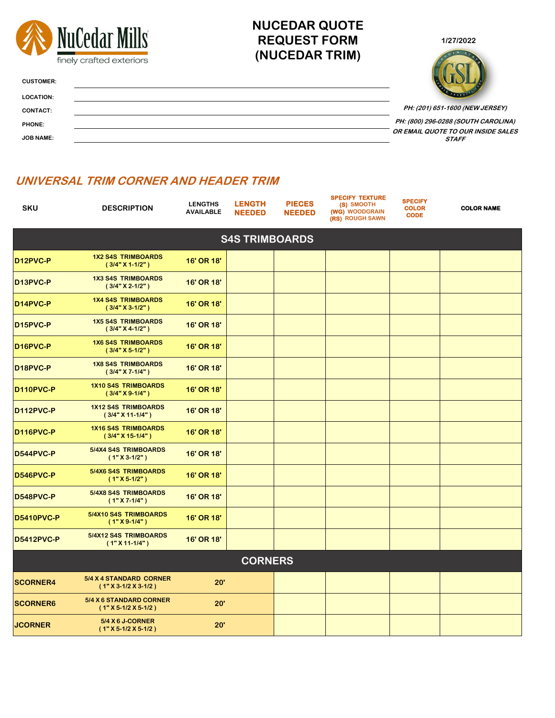



**CUSTOMER:**

| <b>LOCATION:</b> | PRODUCT                                            |
|------------------|----------------------------------------------------|
| <b>CONTACT:</b>  | PH: (201) 651-1600 (NEW JERSEY)                    |
| <b>PHONE:</b>    | PH: (800) 296-0288 (SOUTH CAROLINA)                |
| <b>JOB NAME:</b> | OR EMAIL QUOTE TO OUR INSIDE SALES<br><b>STAFF</b> |

| <b>SKU</b>            | <b>DESCRIPTION</b>                                | <b>LENGTHS</b><br><b>AVAILABLE</b> | <b>LENGTH</b><br><b>NEEDED</b> | <b>PIECES</b><br><b>NEEDED</b> | <b>SPECIFY TEXTURE</b><br>(S) SMOOTH<br>(WG) WOODGRAIN<br>(RS) ROUGH SAWN | <b>SPECIFY</b><br><b>COLOR</b><br><b>CODE</b> | <b>COLOR NAME</b> |
|-----------------------|---------------------------------------------------|------------------------------------|--------------------------------|--------------------------------|---------------------------------------------------------------------------|-----------------------------------------------|-------------------|
|                       |                                                   |                                    | <b>S4S TRIMBOARDS</b>          |                                |                                                                           |                                               |                   |
| D12PVC-P              | <b>1X2 S4S TRIMBOARDS</b><br>$(3/4" X 1-1/2")$    | <b>16' OR 18'</b>                  |                                |                                |                                                                           |                                               |                   |
| D13PVC-P              | <b>1X3 S4S TRIMBOARDS</b><br>$(3/4" X 2-1/2")$    | <b>16' OR 18'</b>                  |                                |                                |                                                                           |                                               |                   |
| D14PVC-P              | <b>1X4 S4S TRIMBOARDS</b><br>$(3/4" X 3-1/2")$    | <b>16' OR 18'</b>                  |                                |                                |                                                                           |                                               |                   |
| D <sub>15</sub> PVC-P | <b>1X5 S4S TRIMBOARDS</b><br>$(3/4" X 4-1/2")$    | <b>16' OR 18'</b>                  |                                |                                |                                                                           |                                               |                   |
| D16PVC-P              | <b>1X6 S4S TRIMBOARDS</b><br>$(3/4" X 5-1/2")$    | <b>16' OR 18'</b>                  |                                |                                |                                                                           |                                               |                   |
| D18PVC-P              | <b>1X8 S4S TRIMBOARDS</b><br>$(3/4" X 7-1/4")$    | <b>16' OR 18'</b>                  |                                |                                |                                                                           |                                               |                   |
| <b>D110PVC-P</b>      | <b>1X10 S4S TRIMBOARDS</b><br>$(3/4" X 9-1/4")$   | <b>16' OR 18'</b>                  |                                |                                |                                                                           |                                               |                   |
| <b>D112PVC-P</b>      | <b>1X12 S4S TRIMBOARDS</b><br>$(3/4" X 11-1/4" )$ | <b>16' OR 18'</b>                  |                                |                                |                                                                           |                                               |                   |
| D116PVC-P             | <b>1X16 S4S TRIMBOARDS</b><br>$(3/4" X 15-1/4")$  | 16' OR 18'                         |                                |                                |                                                                           |                                               |                   |
| D544PVC-P             | 5/4X4 S4S TRIMBOARDS<br>$(1" X 3-1/2" )$          | 16' OR 18'                         |                                |                                |                                                                           |                                               |                   |
| D546PVC-P             | 5/4X6 S4S TRIMBOARDS<br>$(1" X 5-1/2" )$          | <b>16' OR 18'</b>                  |                                |                                |                                                                           |                                               |                   |
| D548PVC-P             | 5/4X8 S4S TRIMBOARDS<br>$(1" X 7-1/4")$           | <b>16' OR 18'</b>                  |                                |                                |                                                                           |                                               |                   |
| <b>D5410PVC-P</b>     | 5/4X10 S4S TRIMBOARDS<br>$(1"X9-1/4")$            | <b>16' OR 18'</b>                  |                                |                                |                                                                           |                                               |                   |
| <b>D5412PVC-P</b>     | 5/4X12 S4S TRIMBOARDS<br>$(1" X 11-1/4")$         | <b>16' OR 18'</b>                  |                                |                                |                                                                           |                                               |                   |
| <b>CORNERS</b>        |                                                   |                                    |                                |                                |                                                                           |                                               |                   |
| <b>SCORNER4</b>       | 5/4 X 4 STANDARD CORNER<br>$(1" X 3-1/2 X 3-1/2)$ | 20'                                |                                |                                |                                                                           |                                               |                   |
| <b>SCORNER6</b>       | 5/4 X 6 STANDARD CORNER<br>$(1" X 5-1/2 X 5-1/2)$ | 20'                                |                                |                                |                                                                           |                                               |                   |
| <b>JCORNER</b>        | <b>5/4 X 6 J-CORNER</b><br>$(1" X 5-1/2 X 5-1/2)$ | 20'                                |                                |                                |                                                                           |                                               |                   |

## **NUCEDAR QUOTE REQUEST FORM (NUCEDAR TRIM)**

### **UNIVERSAL TRIM CORNER AND HEADER TRIM**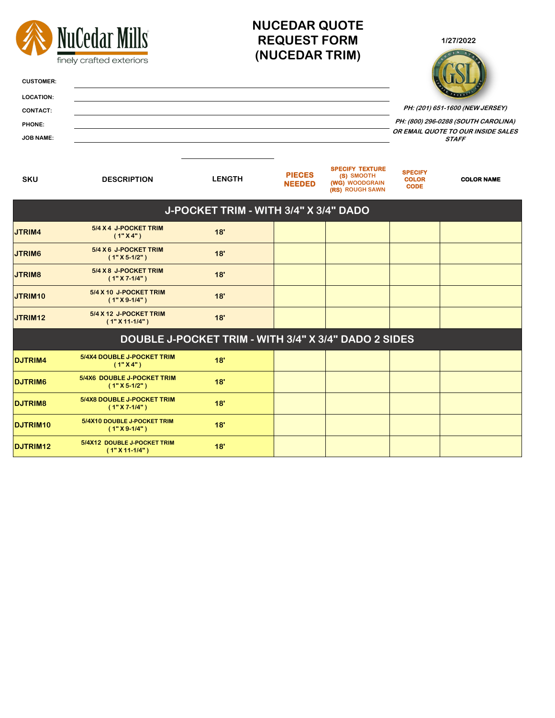| <b>CUSTOMER:</b><br><b>LOCATION:</b><br><b>CONTACT:</b><br><b>PHONE:</b><br><b>JOB NAME:</b> | NuCedar Mills<br>finely crafted exteriors            |                                       | <b>NUCEDAR QUOTE</b><br><b>REQUEST FORM</b><br>(NUCEDAR TRIM) | 1/27/2022<br>PH: (201) 651-1600 (NEW JERSEY)<br>PH: (800) 296-0288 (SOUTH CAROLINA)<br>OR EMAIL QUOTE TO OUR INSIDE SALES<br><b>STAFF</b> |                                               |                   |
|----------------------------------------------------------------------------------------------|------------------------------------------------------|---------------------------------------|---------------------------------------------------------------|-------------------------------------------------------------------------------------------------------------------------------------------|-----------------------------------------------|-------------------|
| <b>SKU</b>                                                                                   | <b>DESCRIPTION</b>                                   | <b>LENGTH</b>                         | <b>PIECES</b><br><b>NEEDED</b>                                | <b>SPECIFY TEXTURE</b><br>(S) SMOOTH<br>(WG) WOODGRAIN<br>(RS) ROUGH SAWN                                                                 | <b>SPECIFY</b><br><b>COLOR</b><br><b>CODE</b> | <b>COLOR NAME</b> |
|                                                                                              |                                                      | J-POCKET TRIM - WITH 3/4" X 3/4" DADO |                                                               |                                                                                                                                           |                                               |                   |
| JTRIM4                                                                                       | 5/4 X 4 J-POCKET TRIM<br>(1"X4")                     | 18'                                   |                                                               |                                                                                                                                           |                                               |                   |
| JTRIM6                                                                                       | 5/4 X 6 J-POCKET TRIM<br>$(1" X 5-1/2" )$            | 18'                                   |                                                               |                                                                                                                                           |                                               |                   |
| <b>JTRIM8</b>                                                                                | 5/4 X 8 J-POCKET TRIM<br>$(1" X 7-1/4")$             | 18'                                   |                                                               |                                                                                                                                           |                                               |                   |
| JTRIM10                                                                                      | 5/4 X 10 J-POCKET TRIM<br>$(1"X9-1/4")$              | 18'                                   |                                                               |                                                                                                                                           |                                               |                   |
| JTRIM12                                                                                      | 5/4 X 12 J-POCKET TRIM<br>$(1" X 11-1/4")$           | 18'                                   |                                                               |                                                                                                                                           |                                               |                   |
|                                                                                              | DOUBLE J-POCKET TRIM - WITH 3/4" X 3/4" DADO 2 SIDES |                                       |                                                               |                                                                                                                                           |                                               |                   |
| <b>DJTRIM4</b>                                                                               | 5/4X4 DOUBLE J-POCKET TRIM<br>(1"X4")                | 18'                                   |                                                               |                                                                                                                                           |                                               |                   |
| <b>DJTRIM6</b>                                                                               | 5/4X6 DOUBLE J-POCKET TRIM<br>$(1" X 5-1/2" )$       | 18'                                   |                                                               |                                                                                                                                           |                                               |                   |
| <b>DJTRIM8</b>                                                                               | 5/4X8 DOUBLE J-POCKET TRIM<br>$(1" X 7-1/4")$        | 18'                                   |                                                               |                                                                                                                                           |                                               |                   |
| <b>DJTRIM10</b>                                                                              | 5/4X10 DOUBLE J-POCKET TRIM<br>$(1"X9-1/4")$         | 18'                                   |                                                               |                                                                                                                                           |                                               |                   |
| <b>DJTRIM12</b>                                                                              | 5/4X12 DOUBLE J-POCKET TRIM<br>$(1" X 11-1/4" )$     | 18'                                   |                                                               |                                                                                                                                           |                                               |                   |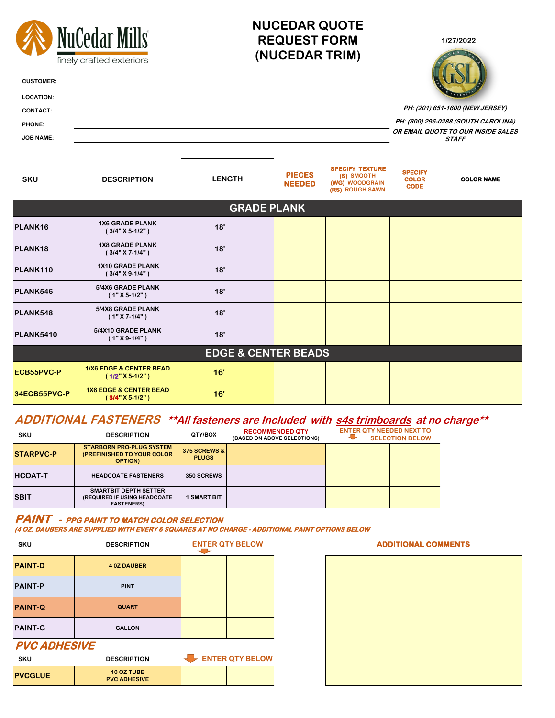

| <b>HCOAT-T</b> | <b>HEADCOATE FASTENERS</b>                                                         | <b>350 SCREWS</b> |  |  |
|----------------|------------------------------------------------------------------------------------|-------------------|--|--|
| <b>SBIT</b>    | <b>SMARTBIT DEPTH SETTER</b><br>(REQUIRED IF USING HEADCOATE)<br><b>FASTENERS)</b> | <b>SMART BIT</b>  |  |  |

| SKU               | <b>DESCRIPTION</b>                                                                       | QTY/BOX                                   | <b>RECOMMENDED QTY</b><br><b>(BASED ON ABOVE SELECTIONS)</b> | <b>ENTER QTY NEEDED NEXT TO</b> | <b>SELECTION BELOW</b> |
|-------------------|------------------------------------------------------------------------------------------|-------------------------------------------|--------------------------------------------------------------|---------------------------------|------------------------|
| <b>ISTARPVC-P</b> | <b>STARBORN PRO-PLUG SYSTEM</b><br><b>(PREFINISHED TO YOUR COLOR)</b><br><b>OPTION</b> ) | <b>375 SCREWS &amp; L</b><br><b>PLUGS</b> |                                                              |                                 |                        |

#### **ADDITIONAL FASTENERS \*\*All fasteners are Included with s4s trimboards at no charge\*\***

| <b>SKU</b>          | <b>DESCRIPTION</b>                       | <b>ENTER QTY BELOW</b><br>$\overline{\phantom{a}}$ |
|---------------------|------------------------------------------|----------------------------------------------------|
| <b>PAINT-D</b>      | <b>40Z DAUBER</b>                        |                                                    |
| <b>PAINT-P</b>      | <b>PINT</b>                              |                                                    |
| <b>PAINT-Q</b>      | <b>QUART</b>                             |                                                    |
| <b>PAINT-G</b>      | <b>GALLON</b>                            |                                                    |
| <b>PVC ADHESIVE</b> |                                          |                                                    |
| <b>SKU</b>          | <b>DESCRIPTION</b>                       | ENTER QTY BELOW                                    |
| <b>PVCGLUE</b>      | <b>10 OZ TUBE</b><br><b>PVC ADHESIVE</b> |                                                    |

#### **PAINT - PPG PAINT TO MATCH COLOR SELECTION**

**(4 OZ. DAUBERS ARE SUPPLIED WITH EVERY 6 SQUARES AT NO CHARGE - ADDITIONAL PAINT OPTIONS BELOW**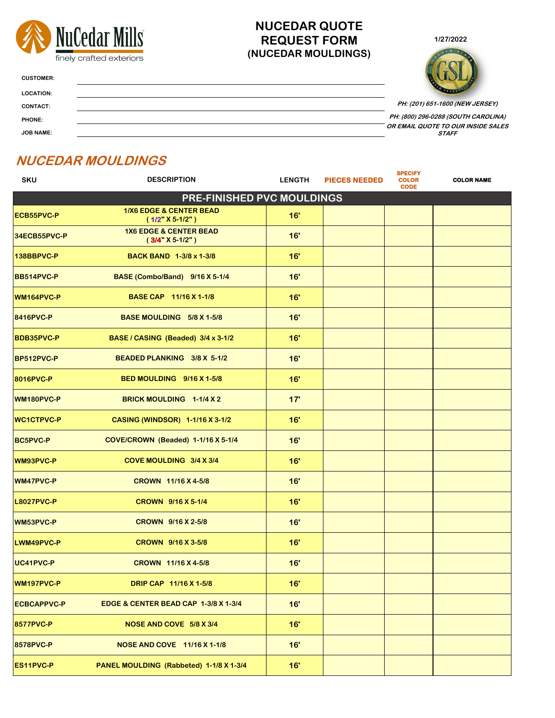



**CUSTOMER:**

| <b>LOCATION:</b> | PRODUCTS                                           |
|------------------|----------------------------------------------------|
| <b>CONTACT:</b>  | PH: (201) 651-1600 (NEW JERSEY)                    |
| <b>PHONE:</b>    | PH: (800) 296-0288 (SOUTH CAROLINA)                |
| <b>JOB NAME:</b> | OR EMAIL QUOTE TO OUR INSIDE SALES<br><b>STAFF</b> |

### **NUCEDAR QUOTE REQUEST FORM (NUCEDAR MOULDINGS)**

# **NUCEDAR MOULDINGS**

| <b>SKU</b>                        | <b>DESCRIPTION</b>                                       | <b>LENGTH</b> | <b>PIECES NEEDED</b> | <b>SPECIFY</b><br><b>COLOR</b><br><b>CODE</b> | <b>COLOR NAME</b> |
|-----------------------------------|----------------------------------------------------------|---------------|----------------------|-----------------------------------------------|-------------------|
| <b>PRE-FINISHED PVC MOULDINGS</b> |                                                          |               |                      |                                               |                   |
| <b>ECB55PVC-P</b>                 | <b>1/X6 EDGE &amp; CENTER BEAD</b><br>$(1/2" X 5-1/2" )$ | 16'           |                      |                                               |                   |
| 34ECB55PVC-P                      | <b>1X6 EDGE &amp; CENTER BEAD</b><br>$(3/4" X 5-1/2" )$  | 16'           |                      |                                               |                   |
| 138BBPVC-P                        | <b>BACK BAND 1-3/8 x 1-3/8</b>                           | 16'           |                      |                                               |                   |
| <b>BB514PVC-P</b>                 | BASE (Combo/Band) 9/16 X 5-1/4                           | 16'           |                      |                                               |                   |
| WM164PVC-P                        | <b>BASE CAP 11/16 X 1-1/8</b>                            | 16'           |                      |                                               |                   |
| <b>8416PVC-P</b>                  | <b>BASE MOULDING 5/8 X 1-5/8</b>                         | 16'           |                      |                                               |                   |
| <b>BDB35PVC-P</b>                 | BASE / CASING (Beaded) 3/4 x 3-1/2                       | 16'           |                      |                                               |                   |
| <b>BP512PVC-P</b>                 | BEADED PLANKING 3/8 X 5-1/2                              | 16'           |                      |                                               |                   |
| <b>8016PVC-P</b>                  | <b>BED MOULDING 9/16 X 1-5/8</b>                         | 16'           |                      |                                               |                   |
| <b>WM180PVC-P</b>                 | BRICK MOULDING 1-1/4 X 2                                 | 17'           |                      |                                               |                   |
| <b>WC1CTPVC-P</b>                 | <b>CASING (WINDSOR) 1-1/16 X 3-1/2</b>                   | 16'           |                      |                                               |                   |
| <b>BC5PVC-P</b>                   | COVE/CROWN (Beaded) 1-1/16 X 5-1/4                       | 16'           |                      |                                               |                   |
| <b>WM93PVC-P</b>                  | COVE MOULDING 3/4 X 3/4                                  | 16'           |                      |                                               |                   |
| <b>WM47PVC-P</b>                  | <b>CROWN 11/16 X 4-5/8</b>                               | 16'           |                      |                                               |                   |
| <b>L8027PVC-P</b>                 | <b>CROWN 9/16 X 5-1/4</b>                                | 16'           |                      |                                               |                   |
| <b>WM53PVC-P</b>                  | <b>CROWN 9/16 X 2-5/8</b>                                | 16'           |                      |                                               |                   |
| LWM49PVC-P                        | <b>CROWN 9/16 X 3-5/8</b>                                | 16'           |                      |                                               |                   |
| UC41PVC-P                         | <b>CROWN 11/16 X 4-5/8</b>                               | 16'           |                      |                                               |                   |
| <b>WM197PVC-P</b>                 | <b>DRIP CAP 11/16 X 1-5/8</b>                            | 16'           |                      |                                               |                   |
| ECBCAPPVC-PNOW                    | <b>EDGE &amp; CENTER BEAD CAP 1-3/8 X 1-3/4</b>          | 16'           |                      |                                               |                   |
| <b>8577PVC-P</b>                  | NOSE AND COVE 5/8 X 3/4                                  | 16'           |                      |                                               |                   |
| <b>8578PVC-P</b>                  | <b>NOSE AND COVE 11/16 X 1-1/8</b>                       | 16'           |                      |                                               |                   |
| <b>ES11PVC-P</b>                  | <b>PANEL MOULDING (Rabbeted) 1-1/8 X 1-3/4</b>           | 16'           |                      |                                               |                   |